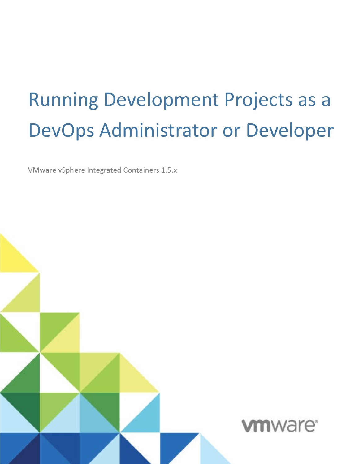# **Running Development Projects as a** DevOps Administrator or Developer

VMware vSphere Integrated Containers 1.5.x

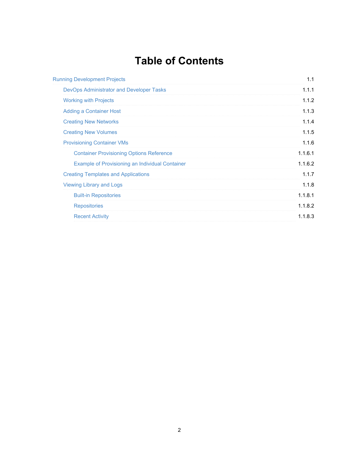# **Table of Contents**

| <b>Running Development Projects</b>                    | 1.1     |
|--------------------------------------------------------|---------|
| <b>DevOps Administrator and Developer Tasks</b>        | 1.1.1   |
| <b>Working with Projects</b>                           | 1.1.2   |
| <b>Adding a Container Host</b>                         | 1.1.3   |
| <b>Creating New Networks</b>                           | 1.1.4   |
| <b>Creating New Volumes</b>                            | 1.1.5   |
| <b>Provisioning Container VMs</b>                      | 1.1.6   |
| <b>Container Provisioning Options Reference</b>        | 1.1.6.1 |
| <b>Example of Provisioning an Individual Container</b> | 1.1.6.2 |
| <b>Creating Templates and Applications</b>             | 1.1.7   |
| <b>Viewing Library and Logs</b>                        | 1.1.8   |
| <b>Built-in Repositories</b>                           | 1.1.8.1 |
| <b>Repositories</b>                                    | 1.1.8.2 |
| <b>Recent Activity</b>                                 | 1.1.8.3 |
|                                                        |         |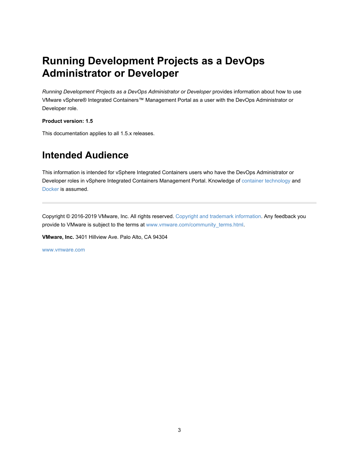# <span id="page-2-0"></span>**Running Development Projects as a DevOps Administrator or Developer**

*Running Development Projects as a DevOps Administrator or Developer* provides information about how to use VMware vSphere® Integrated Containers™ Management Portal as a user with the DevOps Administrator or Developer role.

**Product version: 1.5**

This documentation applies to all 1.5.x releases.

## **Intended Audience**

This information is intended for vSphere Integrated Containers users who have the DevOps Administrator or Developer roles in vSphere Integrated Containers Management Portal. Knowledge of container [technology](https://en.wikipedia.org/wiki/Operating-system-level_virtualization) and [Docker](https://docs.docker.com/) is assumed.

Copyright © 2016-2019 VMware, Inc. All rights reserved. Copyright and trademark [information](http://pubs.vmware.com/copyright-trademark.html). Any feedback you provide to VMware is subject to the terms at [www.vmware.com/community\\_terms.html](http://www.vmware.com/community_terms.html).

**VMware, Inc.** 3401 Hillview Ave. Palo Alto, CA 94304

[www.vmware.com](http://www.vmware.com)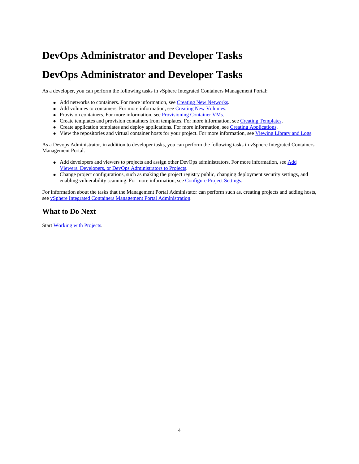# <span id="page-3-0"></span>**DevOps Administrator and Developer Tasks**

## **DevOps Administrator and Developer Tasks**

As a developer, you can perform the following tasks in vSphere Integrated Containers Management Portal:

- Add networks to containers. For more information, see Creating New Networks.
- Add volumes to containers. For more information, see Creating New Volumes.
- Provision containers. For more information, see Provisioning Container VMs.
- Create templates and provision containers from templates. For more information, see Creating Templates.
- Create application templates and deploy applications. For more information, see Creating Applications.
- View the repositories and virtual container hosts for your project. For more information, see Viewing Library and Logs.

As a Devops Administrator, in addition to developer tasks, you can perform the following tasks in vSphere Integrated Containers Management Portal:

- Add developers and viewers to projects and assign other DevOps administrators. For more information, see Add Viewers, Developers, or DevOps Administrators to Projects.
- Change project configurations, such as making the project registry public, changing deployment security settings, and enabling vulnerability scanning. For more information, see Configure Project Settings.

For information about the tasks that the Management Portal Administator can perform such as, creating projects and adding hosts, see vSphere Integrated Containers Management Portal Administration.

#### **What to Do Next**

Start Working with Projects.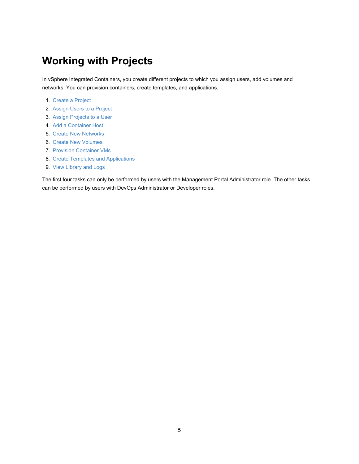# <span id="page-4-0"></span>**Working with Projects**

In vSphere Integrated Containers, you create different projects to which you assign users, add volumes and networks. You can provision containers, create templates, and applications.

- 1. Create a Project
- 2. Assign Users to a Project
- 3. Assign Projects to a User
- 4. Add a [Container](#page-5-0) Host
- 5. Create New [Networks](#page-6-0)
- 6. Create New [Volumes](#page-7-0)
- 7. Provision [Container](#page-8-0) VMs
- 8. Create Templates and [Applications](#page-15-0)
- 9. View [Library](#page-16-0) and Logs

The first four tasks can only be performed by users with the Management Portal Administrator role. The other tasks can be performed by users with DevOps Administrator or Developer roles.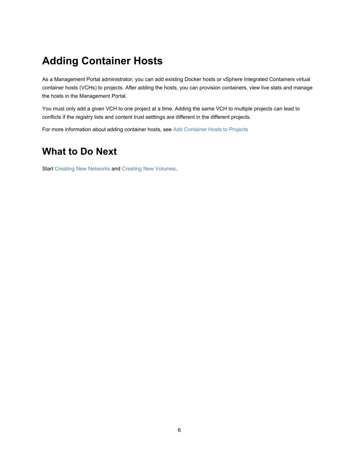# <span id="page-5-0"></span>**Adding Container Hosts**

As a Management Portal administrator, you can add existing Docker hosts or vSphere Integrated Containers virtual container hosts (VCHs) to projects. After adding the hosts, you can provision containers, view live stats and manage the hosts in the Management Portal.

You must only add a given VCH to one project at a time. Adding the same VCH to multiple projects can lead to conflicts if the registry lists and content trust setttings are different in the different projects.

For more information about adding container hosts, see Add Container Hosts to Projects

#### **What to Do Next**

Start Creating New [Networks](#page-6-0) and Creating New [Volumes.](#page-7-0)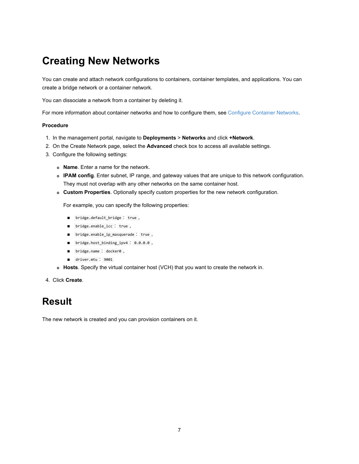# <span id="page-6-0"></span>**Creating New Networks**

You can create and attach network configurations to containers, container templates, and applications. You can create a bridge network or a container network.

You can dissociate a network from a container by deleting it.

For more information about container networks and how to configure them, see Configure Container Networks.

#### **Procedure**

- 1. In the management portal, navigate to **Deployments** > **Networks** and click **+Network**.
- 2. On the Create Network page, select the **Advanced** check box to access all available settings.
- 3. Configure the following settings:
	- **Name**. Enter a name for the network.
	- **IPAM config**. Enter subnet, IP range, and gateway values that are unique to this network configuration. They must not overlap with any other networks on the same container host.
	- **Custom Properties**. Optionally specify custom properties for the new network configuration.

For example, you can specify the following properties:

- bridge.default\_bridge : true ,
- bridge.enable\_icc : true,
- bridge.enable\_ip\_masquerade : true,
- bridge.host\_binding\_ipv4: 0.0.0.0,
- bridge.name : docker0,
- driver.mtu: 9001
- **Hosts**. Specify the virtual container host (VCH) that you want to create the network in.
- 4. Click **Create**.

#### **Result**

The new network is created and you can provision containers on it.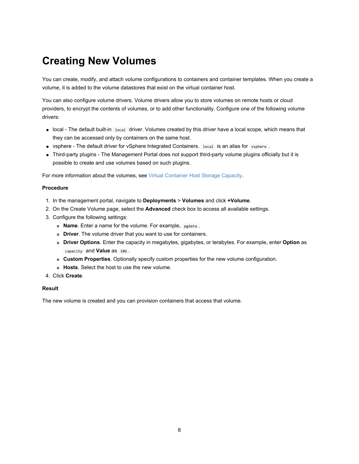# <span id="page-7-0"></span>**Creating New Volumes**

You can create, modify, and attach volume configurations to containers and container templates. When you create a volume, it is added to the volume datastores that exist on the virtual container host.

You can also configure volume drivers. Volume drivers allow you to store volumes on remote hosts or cloud providers, to encrypt the contents of volumes, or to add other functionality. Configure one of the following volume drivers:

- local The default built-in local driver. Volumes created by this driver have a local scope, which means that they can be accessed only by containers on the same host.
- vsphere The default driver for vSphere Integrated Containers. local is an alias for vsphere .
- Third-party plugins The Management Portal does not support third-party volume plugins officially but it is possible to create and use volumes based on such plugins.

For more information about the volumes, see Virtual Container Host Storage Capacity.

#### **Procedure**

- 1. In the management portal, navigate to **Deployments** > **Volumes** and click **+Volume**.
- 2. On the Create Volume page, select the **Advanced** check box to access all available settings.
- 3. Configure the following settings:
	- **Name**. Enter a name for the volume. For example, pgdata .
	- **Driver**. The volume driver that you want to use for containers.
	- **Driver Options**. Enter the capacity in megabytes, gigabytes, or terabytes. For example, enter **Option** as capacity and **Value** as 10G .
	- **Custom Properties**. Optionally specify custom properties for the new volume configuration.
	- **Hosts**. Select the host to use the new volume.
- 4. Click **Create**.

#### **Result**

The new volume is created and you can provision containers that access that volume.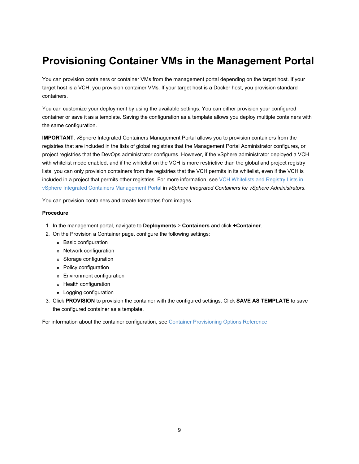# <span id="page-8-0"></span>**Provisioning Container VMs in the Management Portal**

You can provision containers or container VMs from the management portal depending on the target host. If your target host is a VCH, you provision container VMs. If your target host is a Docker host, you provision standard containers.

You can customize your deployment by using the available settings. You can either provision your configured container or save it as a template. Saving the configuration as a template allows you deploy multiple containers with the same configuration.

**IMPORTANT**: vSphere Integrated Containers Management Portal allows you to provision containers from the registries that are included in the lists of global registries that the Management Portal Administrator configures, or project registries that the DevOps administrator configures. However, if the vSphere administrator deployed a VCH with whitelist mode enabled, and if the whitelist on the VCH is more restrictive than the global and project registry lists, you can only provision containers from the registries that the VCH permits in its whitelist, even if the VCH is included in a project that permits other registries. For more information, see VCH Whitelists and Registry Lists in vSphere Integrated Containers Management Portal in *vSphere Integrated Containers for vSphere Administrators*.

You can provision containers and create templates from images.

#### **Procedure**

- 1. In the management portal, navigate to **Deployments** > **Containers** and click **+Container**.
- 2. On the Provision a Container page, configure the following settings:
	- Basic configuration
	- Network configuration
	- Storage configuration
	- Policy configuration
	- Environment configuration
	- Health configuration
	- Logging configuration
- 3. Click **PROVISION** to provision the container with the configured settings. Click **SAVE AS TEMPLATE** to save the configured container as a template.

For information about the container configuration, see Container [Provisioning](#page-9-0) Options Reference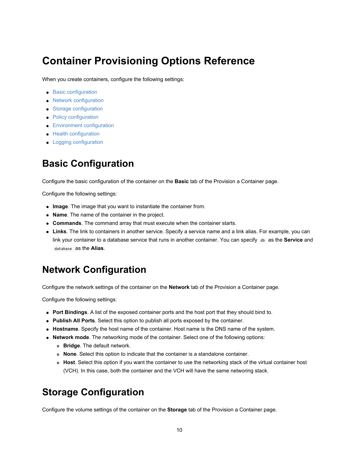## <span id="page-9-0"></span>**Container Provisioning Options Reference**

When you create containers, configure the following settings:

- **Basic [configuration](#page-9-1)**
- Network [configuration](#page-9-2)
- **Storage [configuration](#page-9-3)**
- Policy [configuration](#page-10-0)
- **Environment [configuration](#page-10-1)**
- Health [configuration](#page-11-0)
- **•** Logging [configuration](#page-11-1)

#### <span id="page-9-1"></span>**Basic Configuration**

Configure the basic configuration of the container on the **Basic** tab of the Provision a Container page.

Configure the following settings:

- **Image**. The image that you want to instantiate the container from.
- **Name**. The name of the container in the project.
- **Commands**. The command array that must execute when the container starts.
- **Links**. The link to containers in another service. Specify a service name and a link alias. For example, you can link your container to a database service that runs in another container. You can specify db as the **Service** and database as the **Alias**.

## <span id="page-9-2"></span>**Network Configuration**

Configure the network settings of the container on the **Network** tab of the Provision a Container page.

Configure the following settings:

- **Port Bindings**. A list of the exposed container ports and the host port that they should bind to.
- **Publish All Ports**. Select this option to publish all ports exposed by the container.
- **Hostname**. Specify the host name of the container. Host name is the DNS name of the system.
- **Network mode**. The networking mode of the container. Select one of the following options:
	- **Bridge**. The default network.
	- **None**. Select this option to indicate that the container is a standalone container.
	- **Host**. Select this option if you want the container to use the networking stack of the virtual container host (VCH). In this case, both the container and the VCH will have the same networing stack.

#### <span id="page-9-3"></span>**Storage Configuration**

Configure the volume settings of the container on the **Storage** tab of the Provision a Container page.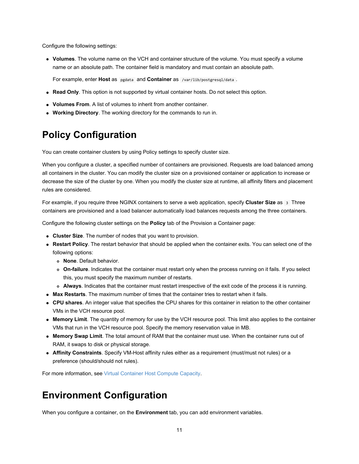Configure the following settings:

**Volumes**. The volume name on the VCH and container structure of the volume. You must specify a volume name or an absolute path. The container field is mandatory and must contain an absolute path.

For example, enter **Host** as pgdata and **Container** as /var/lib/postgresql/data.

- **Read Only**. This option is not supported by virtual container hosts. Do not select this option.
- **Volumes From**. A list of volumes to inherit from another container.
- **Working Directory**. The working directory for the commands to run in.

#### <span id="page-10-0"></span>**Policy Configuration**

You can create container clusters by using Policy settings to specify cluster size.

When you configure a cluster, a specified number of containers are provisioned. Requests are load balanced among all containers in the cluster. You can modify the cluster size on a provisioned container or application to increase or decrease the size of the cluster by one. When you modify the cluster size at runtime, all affinity filters and placement rules are considered.

For example, if you require three NGINX containers to serve a web application, specify **Cluster Size** as 3 Three containers are provisioned and a load balancer automatically load balances requests among the three containers.

Configure the following cluster settings on the **Policy** tab of the Provision a Container page:

- **Cluster Size**. The number of nodes that you want to provision.
- **Restart Policy**. The restart behavior that should be applied when the container exits. You can select one of the following options:
	- **None**. Default behavior.
	- **On-failure**. Indicates that the container must restart only when the process running on it fails. If you select this, you must specify the maximum number of restarts.
	- **Always**. Indicates that the container must restart irrespective of the exit code of the process it is running.
- **Max Restarts**. The maximum number of times that the container tries to restart when it fails.
- **CPU shares**. An integer value that specifies the CPU shares for this container in relation to the other container VMs in the VCH resource pool.
- **Memory Limit**. The quantity of memory for use by the VCH resource pool. This limit also applies to the container VMs that run in the VCH resource pool. Specify the memory reservation value in MB.
- **Memory Swap Limit**. The total amount of RAM that the container must use. When the container runs out of RAM, it swaps to disk or physical storage.
- **Affinity Constraints**. Specify VM-Host affinity rules either as a requirement (must/must not rules) or a preference (should/should not rules).

For more information, see Virtual Container Host Compute Capacity.

#### <span id="page-10-1"></span>**Environment Configuration**

When you configure a container, on the **Environment** tab, you can add environment variables.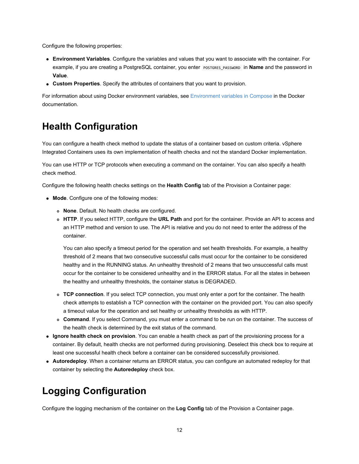Configure the following properties:

- **Environment Variables**. Configure the variables and values that you want to associate with the container. For example, if you are creating a PostgreSQL container, you enter **POSTGRES\_PASSWORD** in **Name** and the password in **Value**.
- **Custom Properties**. Specify the attributes of containers that you want to provision.

For information about using Docker environment variables, see [Environment](https://docs.docker.com/compose/environment-variables/) variables in Compose in the Docker documentation.

#### <span id="page-11-0"></span>**Health Configuration**

You can configure a health check method to update the status of a container based on custom criteria. vSphere Integrated Containers uses its own implementation of health checks and not the standard Docker implementation.

You can use HTTP or TCP protocols when executing a command on the container. You can also specify a health check method.

Configure the following health checks settings on the **Health Config** tab of the Provision a Container page:

- **Mode**. Configure one of the following modes:
	- **None**. Default. No health checks are configured.
	- **HTTP**. If you select HTTP, configure the **URL Path** and port for the container. Provide an API to access and an HTTP method and version to use. The API is relative and you do not need to enter the address of the container.

You can also specify a timeout period for the operation and set health thresholds. For example, a healthy threshold of 2 means that two consecutive successful calls must occur for the container to be considered healthy and in the RUNNING status. An unhealthy threshold of 2 means that two unsuccessful calls must occur for the container to be considered unhealthy and in the ERROR status. For all the states in between the healthy and unhealthy thresholds, the container status is DEGRADED.

- **TCP connection**. If you select TCP connection, you must only enter a port for the container. The health check attempts to establish a TCP connection with the container on the provided port. You can also specify a timeout value for the operation and set healthy or unhealthy thresholds as with HTTP.
- **Command**. If you select Command, you must enter a command to be run on the container. The success of the health check is determined by the exit status of the command.
- **Ignore health check on provision**. You can enable a health check as part of the provisioning process for a container. By default, health checks are not performed during provisioning. Deselect this check box to require at least one successful health check before a container can be considered successfully provisioned.
- **Autoredeploy**. When a container returns an ERROR status, you can configure an automated redeploy for that container by selecting the **Autoredeploy** check box.

#### <span id="page-11-1"></span>**Logging Configuration**

Configure the logging mechanism of the container on the **Log Config** tab of the Provision a Container page.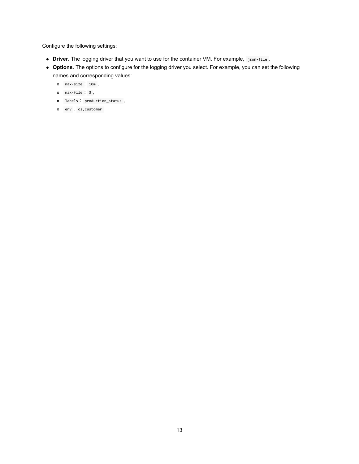Configure the following settings:

- **Driver**. The logging driver that you want to use for the container VM. For example, json-file .
- **Options**. The options to configure for the logging driver you select. For example, you can set the following names and corresponding values:
	- max-size : 10m ,
	- max-file : 3 ,
	- labels : production\_status ,
	- env : os,customer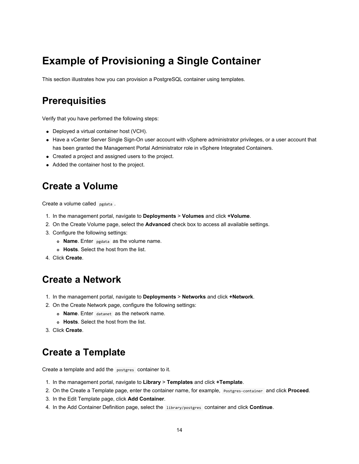# <span id="page-13-0"></span>**Example of Provisioning a Single Container**

This section illustrates how you can provision a PostgreSQL container using templates.

#### **Prerequisities**

Verify that you have perfomed the following steps:

- Deployed a virtual container host (VCH).
- Have a vCenter Server Single Sign-On user account with vSphere administrator privileges, or a user account that has been granted the Management Portal Administrator role in vSphere Integrated Containers.
- Created a project and assigned users to the project.
- Added the container host to the project.

#### **Create a Volume**

Create a volume called pgdata.

- 1. In the management portal, navigate to **Deployments** > **Volumes** and click **+Volume**.
- 2. On the Create Volume page, select the **Advanced** check box to access all available settings.
- 3. Configure the following settings:
	- **Name**. Enter pgdata as the volume name.
	- **Hosts**. Select the host from the list.
- 4. Click **Create**.

#### **Create a Network**

- 1. In the management portal, navigate to **Deployments** > **Networks** and click **+Network**.
- 2. On the Create Network page, configure the following settings:
	- **Name**. Enter datanet as the network name.
	- **Hosts**. Select the host from the list.
- 3. Click **Create**.

#### **Create a Template**

Create a template and add the postgres container to it.

- 1. In the management portal, navigate to **Library** > **Templates** and click **+Template**.
- 2. On the Create a Template page, enter the container name, for example, Postgres-container and click **Proceed**.
- 3. In the Edit Template page, click **Add Container**.
- 4. In the Add Container Definition page, select the library/postgres container and click **Continue**.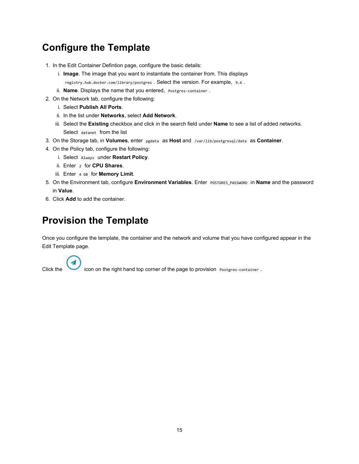## **Configure the Template**

- 1. In the Edit Container Defintion page, configure the basic details:
	- i. **Image**. The image that you want to instantiate the container from. This displays registry.hub.docker.com/library/postgres . Select the version. For example, 9.6 .
	- ii. **Name**. Displays the name that you entered, Postgres-container .
- 2. On the Network tab, configure the following:
	- i. Select **Publish All Ports**.
	- ii. In the list under **Networks**, select **Add Network**.
	- iii. Select the **Existing** checkbox and click in the search field under **Name** to see a list of added networks. Select datanet from the list
- 3. On the Storage tab, in **Volumes**, enter pgdata as **Host** and /var/lib/postgresql/data as **Container**.
- 4. On the Policy tab, configure the following:
	- i. Select Always under **Restart Policy**.
	- ii. Enter 2 for **CPU Shares**.
	- iii. Enter 4 GB for **Memory Limit**.
- 5. On the Environment tab, configure **Environment Variables**. Enter POSTGRES\_PASSWORD in **Name** and the password in **Value**.
- 6. Click **Add** to add the container.

## **Provision the Template**

Once you configure the template, the container and the network and volume that you have configured appear in the Edit Template page.

Click the icon on the right hand top corner of the page to provision Postgres-container .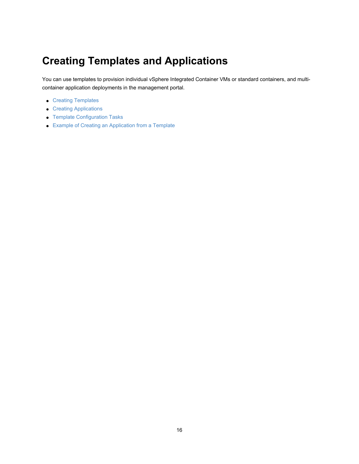# <span id="page-15-0"></span>**Creating Templates and Applications**

You can use templates to provision individual vSphere Integrated Container VMs or standard containers, and multicontainer application deployments in the management portal.

- **Creating Templates**
- Creating Applications
- **Template Configuration Tasks**
- Example of Creating an Application from a Template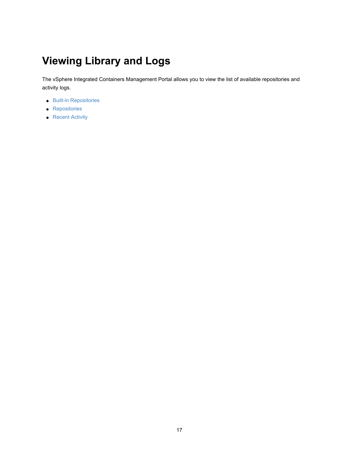# <span id="page-16-0"></span>**Viewing Library and Logs**

The vSphere Integrated Containers Management Portal allows you to view the list of available repositories and activity logs.

- **Built-in [Repositories](#page-17-0)**
- **•** [Repositories](#page-18-0)
- [Recent](#page-19-0) Activity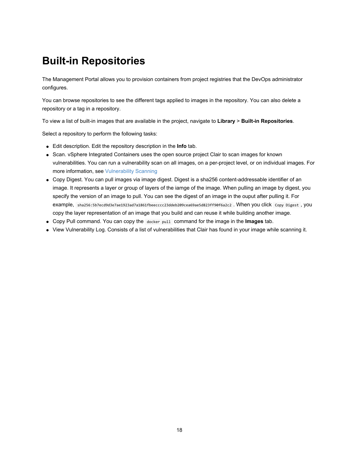# <span id="page-17-0"></span>**Built-in Repositories**

The Management Portal allows you to provision containers from project registries that the DevOps administrator configures.

You can browse repositories to see the different tags applied to images in the repository. You can also delete a repository or a tag in a repository.

To view a list of built-in images that are available in the project, navigate to **Library** > **Built-in Repositories**.

Select a repository to perform the following tasks:

- Edit description. Edit the repository description in the **Info** tab.
- Scan. vSphere Integrated Containers uses the open source project Clair to scan images for known vulnerabilities. You can run a vulnerability scan on all images, on a per-project level, or on individual images. For more information, see Vulnerability Scanning
- Copy Digest. You can pull images via image digest. Digest is a sha256 content-addressable identifier of an image. It represents a layer or group of layers of the iamge of the image. When pulling an image by digest, you specify the version of an image to pull. You can see the digest of an image in the ouput after pulling it. For example, sha256:5b7ecd9d3e7ae1923ad7a1861fbeecccc23ddeb209cea69ae5d823ff90f6a2c2 . When you click Copy Digest , you copy the layer representation of an image that you build and can reuse it while building another image.
- Copy Pull command. You can copy the docker pull command for the image in the **Images** tab.
- View Vulnerability Log. Consists of a list of vulnerabilities that Clair has found in your image while scanning it.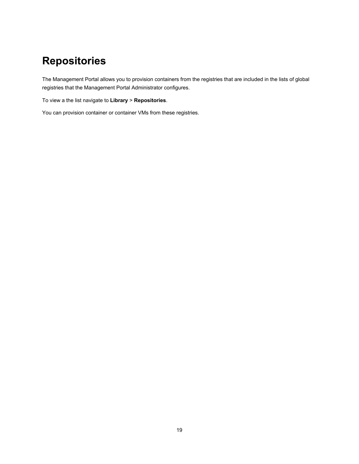# <span id="page-18-0"></span>**Repositories**

The Management Portal allows you to provision containers from the registries that are included in the lists of global registries that the Management Portal Administrator configures.

To view a the list navigate to **Library** > **Repositories**.

You can provision container or container VMs from these registries.